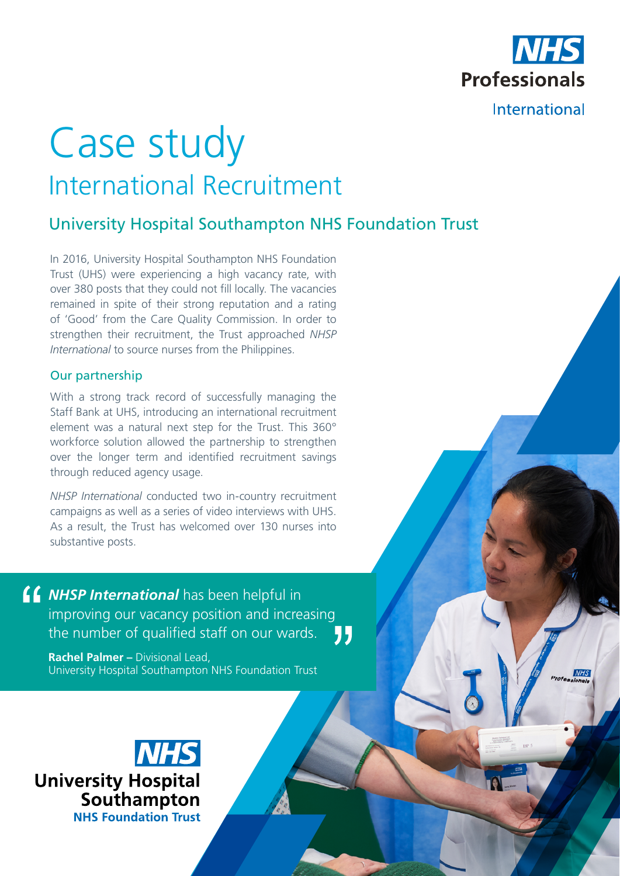

# Case study International Recruitment

## University Hospital Southampton NHS Foundation Trust

In 2016, University Hospital Southampton NHS Foundation Trust (UHS) were experiencing a high vacancy rate, with over 380 posts that they could not fill locally. The vacancies remained in spite of their strong reputation and a rating of 'Good' from the Care Quality Commission. In order to strengthen their recruitment, the Trust approached *NHSP International* to source nurses from the Philippines.

#### Our partnership

With a strong track record of successfully managing the Staff Bank at UHS, introducing an international recruitment element was a natural next step for the Trust. This 360° workforce solution allowed the partnership to strengthen over the longer term and identified recruitment savings through reduced agency usage.

*NHSP International* conducted two in-country recruitment campaigns as well as a series of video interviews with UHS. As a result, the Trust has welcomed over 130 nurses into substantive posts.

*NHSP International* has been helpful in improving our vacancy position and increasing the number of qualified staff on our wards. 77

**Rachel Palmer –** Divisional Lead, University Hospital Southampton NHS Foundation Trust

**University Hospital** Southampton **NHS Foundation Trust**